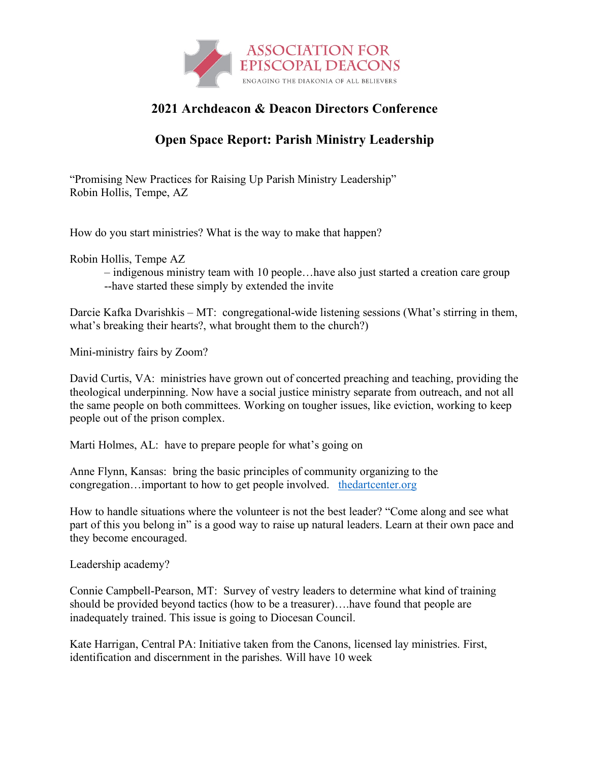

## **2021 Archdeacon & Deacon Directors Conference**

## **Open Space Report: Parish Ministry Leadership**

"Promising New Practices for Raising Up Parish Ministry Leadership" Robin Hollis, Tempe, AZ

How do you start ministries? What is the way to make that happen?

Robin Hollis, Tempe AZ

– indigenous ministry team with 10 people…have also just started a creation care group --have started these simply by extended the invite

Darcie Kafka Dvarishkis – MT: congregational-wide listening sessions (What's stirring in them, what's breaking their hearts?, what brought them to the church?)

Mini-ministry fairs by Zoom?

David Curtis, VA: ministries have grown out of concerted preaching and teaching, providing the theological underpinning. Now have a social justice ministry separate from outreach, and not all the same people on both committees. Working on tougher issues, like eviction, working to keep people out of the prison complex.

Marti Holmes, AL: have to prepare people for what's going on

Anne Flynn, Kansas: bring the basic principles of community organizing to the congregation…important to how to get people involved. thedartcenter.org

How to handle situations where the volunteer is not the best leader? "Come along and see what part of this you belong in" is a good way to raise up natural leaders. Learn at their own pace and they become encouraged.

Leadership academy?

Connie Campbell-Pearson, MT: Survey of vestry leaders to determine what kind of training should be provided beyond tactics (how to be a treasurer)….have found that people are inadequately trained. This issue is going to Diocesan Council.

Kate Harrigan, Central PA: Initiative taken from the Canons, licensed lay ministries. First, identification and discernment in the parishes. Will have 10 week